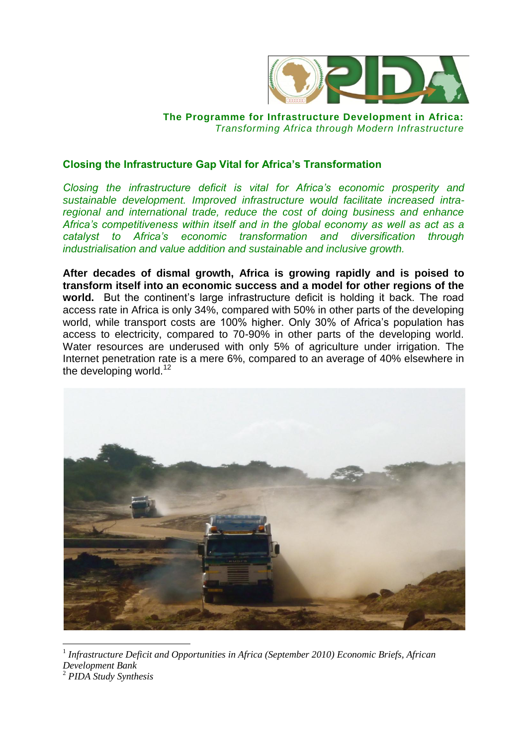

## **The Programme for Infrastructure Development in Africa:**  *Transforming Africa through Modern Infrastructure*

## **Closing the Infrastructure Gap Vital for Africa's Transformation**

*Closing the infrastructure deficit is vital for Africa's economic prosperity and sustainable development. Improved infrastructure would facilitate increased intraregional and international trade, reduce the cost of doing business and enhance Africa's competitiveness within itself and in the global economy as well as act as a catalyst to Africa's economic transformation and diversification through industrialisation and value addition and sustainable and inclusive growth.* 

**After decades of dismal growth, Africa is growing rapidly and is poised to transform itself into an economic success and a model for other regions of the world.** But the continent's large infrastructure deficit is holding it back. The road access rate in Africa is only 34%, compared with 50% in other parts of the developing world, while transport costs are 100% higher. Only 30% of Africa's population has access to electricity, compared to 70-90% in other parts of the developing world. Water resources are underused with only 5% of agriculture under irrigation. The Internet penetration rate is a mere 6%, compared to an average of 40% elsewhere in the developing world.<sup>12</sup>



1 *Infrastructure Deficit and Opportunities in Africa (September 2010) Economic Briefs, African Development Bank* <sup>2</sup> *PIDA Study Synthesis*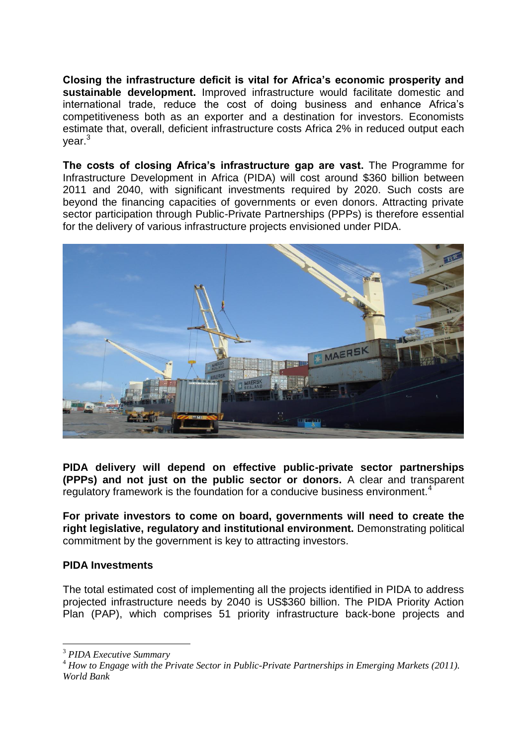**Closing the infrastructure deficit is vital for Africa's economic prosperity and sustainable development.** Improved infrastructure would facilitate domestic and international trade, reduce the cost of doing business and enhance Africa's competitiveness both as an exporter and a destination for investors. Economists estimate that, overall, deficient infrastructure costs Africa 2% in reduced output each vear.<sup>3</sup>

**The costs of closing Africa's infrastructure gap are vast.** The Programme for Infrastructure Development in Africa (PIDA) will cost around \$360 billion between 2011 and 2040, with significant investments required by 2020. Such costs are beyond the financing capacities of governments or even donors. Attracting private sector participation through Public-Private Partnerships (PPPs) is therefore essential for the delivery of various infrastructure projects envisioned under PIDA.



**PIDA delivery will depend on effective public-private sector partnerships (PPPs) and not just on the public sector or donors.** A clear and transparent regulatory framework is the foundation for a conducive business environment.<sup>4</sup>

**For private investors to come on board, governments will need to create the right legislative, regulatory and institutional environment.** Demonstrating political commitment by the government is key to attracting investors.

## **PIDA Investments**

The total estimated cost of implementing all the projects identified in PIDA to address projected infrastructure needs by 2040 is US\$360 billion. The PIDA Priority Action Plan (PAP), which comprises 51 priority infrastructure back-bone projects and

 $\overline{a}$ 

<sup>3</sup> *PIDA Executive Summary*

<sup>4</sup> *How to Engage with the Private Sector in Public-Private Partnerships in Emerging Markets (2011). World Bank*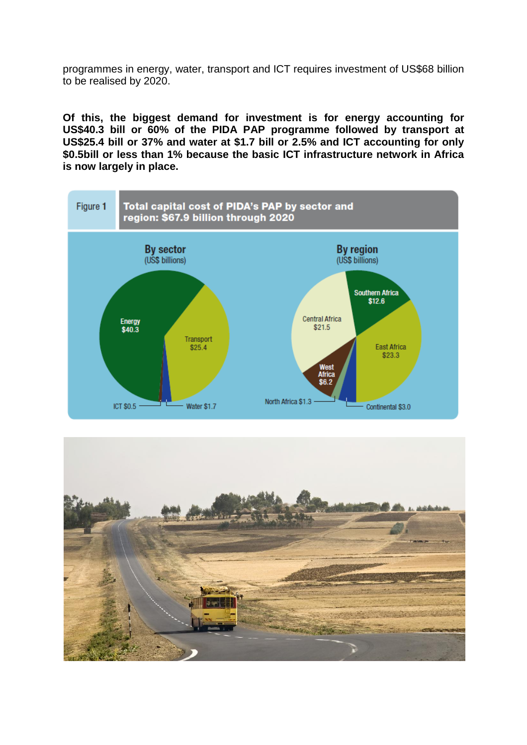programmes in energy, water, transport and ICT requires investment of US\$68 billion to be realised by 2020.

**Of this, the biggest demand for investment is for energy accounting for US\$40.3 bill or 60% of the PIDA PAP programme followed by transport at US\$25.4 bill or 37% and water at \$1.7 bill or 2.5% and ICT accounting for only \$0.5bill or less than 1% because the basic ICT infrastructure network in Africa is now largely in place.**